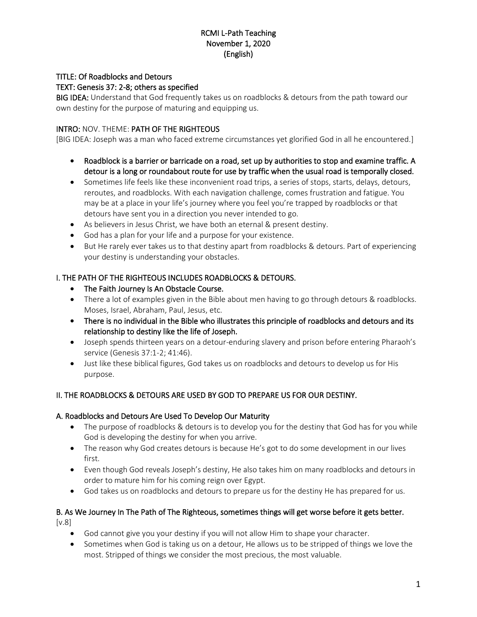## RCMI L-Path Teaching November 1, 2020 (English)

### TITLE: Of Roadblocks and Detours

## TEXT: Genesis 37: 2-8; others as specified

BIG IDEA: Understand that God frequently takes us on roadblocks & detours from the path toward our own destiny for the purpose of maturing and equipping us.

#### INTRO: NOV. THEME: PATH OF THE RIGHTEOUS

[BIG IDEA: Joseph was a man who faced extreme circumstances yet glorified God in all he encountered.]

- Roadblock is a barrier or barricade on a road, set up by authorities to stop and examine traffic. A detour is a long or roundabout route for use by traffic when the usual road is temporally closed.
- Sometimes life feels like these inconvenient road trips, a series of stops, starts, delays, detours, reroutes, and roadblocks. With each navigation challenge, comes frustration and fatigue. You may be at a place in your life's journey where you feel you're trapped by roadblocks or that detours have sent you in a direction you never intended to go.
- As believers in Jesus Christ, we have both an eternal & present destiny.
- God has a plan for your life and a purpose for your existence.
- But He rarely ever takes us to that destiny apart from roadblocks & detours. Part of experiencing your destiny is understanding your obstacles.

#### I. THE PATH OF THE RIGHTEOUS INCLUDES ROADBLOCKS & DETOURS.

- The Faith Journey Is An Obstacle Course.
- There a lot of examples given in the Bible about men having to go through detours & roadblocks. Moses, Israel, Abraham, Paul, Jesus, etc.
- There is no individual in the Bible who illustrates this principle of roadblocks and detours and its relationship to destiny like the life of Joseph.
- Joseph spends thirteen years on a detour-enduring slavery and prison before entering Pharaoh's service (Genesis 37:1-2; 41:46).
- Just like these biblical figures, God takes us on roadblocks and detours to develop us for His purpose.

#### II. THE ROADBLOCKS & DETOURS ARE USED BY GOD TO PREPARE US FOR OUR DESTINY.

#### A. Roadblocks and Detours Are Used To Develop Our Maturity

- The purpose of roadblocks & detours is to develop you for the destiny that God has for you while God is developing the destiny for when you arrive.
- The reason why God creates detours is because He's got to do some development in our lives first.
- Even though God reveals Joseph's destiny, He also takes him on many roadblocks and detours in order to mature him for his coming reign over Egypt.
- God takes us on roadblocks and detours to prepare us for the destiny He has prepared for us.

#### B. As We Journey In The Path of The Righteous, sometimes things will get worse before it gets better. [v.8]

- God cannot give you your destiny if you will not allow Him to shape your character.
- Sometimes when God is taking us on a detour, He allows us to be stripped of things we love the most. Stripped of things we consider the most precious, the most valuable.